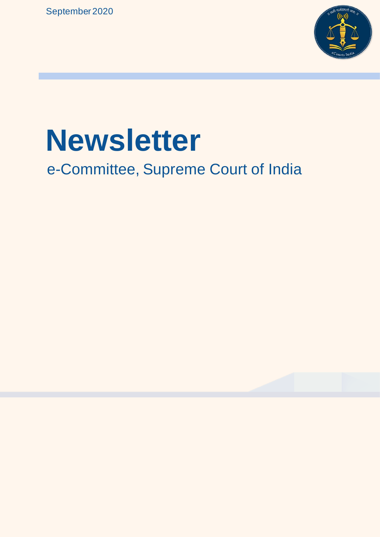September 2020



# **Newsletter**

## e-Committee, Supreme Court of India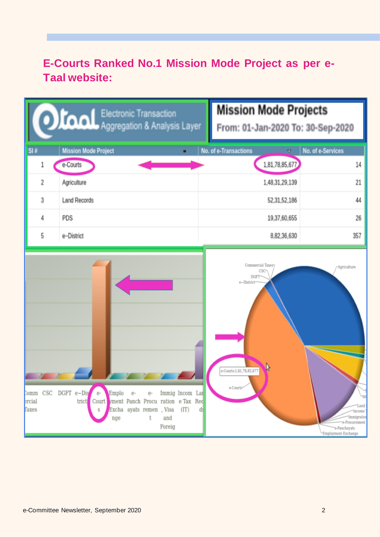## **E-Courts Ranked No.1 Mission Mode Project as per e-Taal website:**

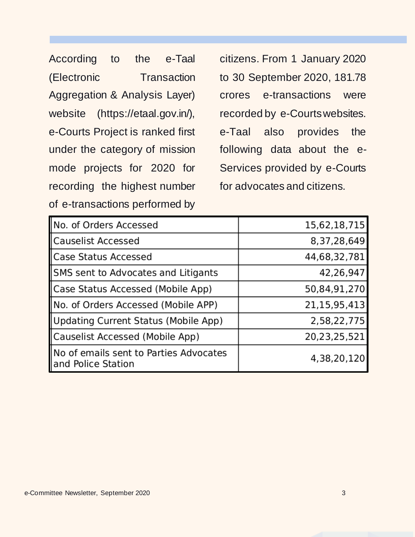According to the e-Taal (Electronic Transaction Aggregation & Analysis Layer) website (https://etaal.gov.in/), e-Courts Project is ranked first under the category of mission mode projects for 2020 for recording the highest number of e-transactions performed by

citizens. From 1 January 2020 to 30 September 2020, 181.78 crores e-transactions were recorded by e-Courts websites. e-Taal also provides the following data about the e-Services provided by e-Courts for advocates and citizens.

| No. of Orders Accessed                                       | 15,62,18,715 |
|--------------------------------------------------------------|--------------|
| <b>Causelist Accessed</b>                                    | 8,37,28,649  |
| Case Status Accessed                                         | 44,68,32,781 |
| SMS sent to Advocates and Litigants                          | 42,26,947    |
| Case Status Accessed (Mobile App)                            | 50,84,91,270 |
| No. of Orders Accessed (Mobile APP)                          | 21,15,95,413 |
| Updating Current Status (Mobile App)                         | 2,58,22,775  |
| Causelist Accessed (Mobile App)                              | 20,23,25,521 |
| No of emails sent to Parties Advocates<br>and Police Station | 4,38,20,120  |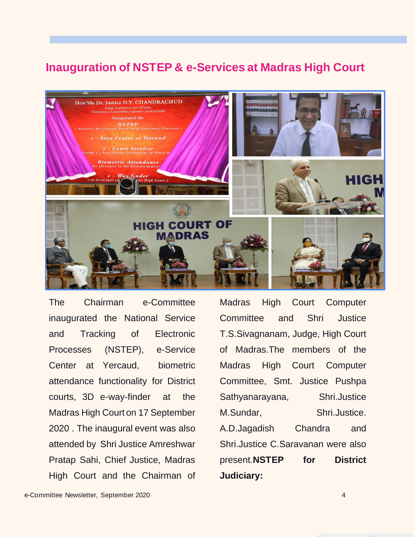#### **Inauguration of NSTEP & e-Services at Madras High Court**



The Chairman e-Committee inaugurated the National Service and Tracking of Electronic Processes (NSTEP), e-Service Center at Yercaud, biometric attendance functionality for District courts, 3D e-way-finder at the Madras High Court on 17 September 2020 . The inaugural event was also attended by Shri Justice Amreshwar Pratap Sahi, Chief Justice, Madras High Court and the Chairman of

Madras High Court Computer Committee and Shri Justice T.S.Sivagnanam, Judge, High Court of Madras.The members of the Madras High Court Computer Committee, Smt. Justice Pushpa Sathyanarayana, Shri.Justice M.Sundar. Shri.Justice. A.D.Jagadish Chandra and Shri.Justice C.Saravanan were also present.**NSTEP for District Judiciary:**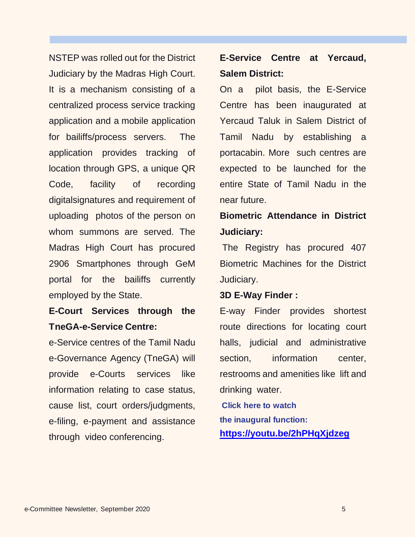NSTEP was rolled out for the District Judiciary by the Madras High Court. It is a mechanism consisting of a centralized process service tracking application and a mobile application for bailiffs/process servers. The application provides tracking of location through GPS, a unique QR Code, facility of recording digitalsignatures and requirement of uploading photos of the person on whom summons are served. The Madras High Court has procured 2906 Smartphones through GeM portal for the bailiffs currently employed by the State.

#### **E-Court Services through the TneGA-e-Service Centre:**

e-Service centres of the Tamil Nadu e-Governance Agency (TneGA) will provide e-Courts services like information relating to case status, cause list, court orders/judgments, e-filing, e-payment and assistance through video conferencing.

#### **E-Service Centre at Yercaud, Salem District:**

On a pilot basis, the E-Service Centre has been inaugurated at Yercaud Taluk in Salem District of Tamil Nadu by establishing a portacabin. More such centres are expected to be launched for the entire State of Tamil Nadu in the near future.

#### **Biometric Attendance in District Judiciary:**

The Registry has procured 407 Biometric Machines for the District Judiciary.

#### **3D E-Way Finder :**

E-way Finder provides shortest route directions for locating court halls, judicial and administrative section, information center, restrooms and amenities like lift and drinking water.

**Click here to watch the inaugural function: https://youtu.be/2hPHqXjdzeg**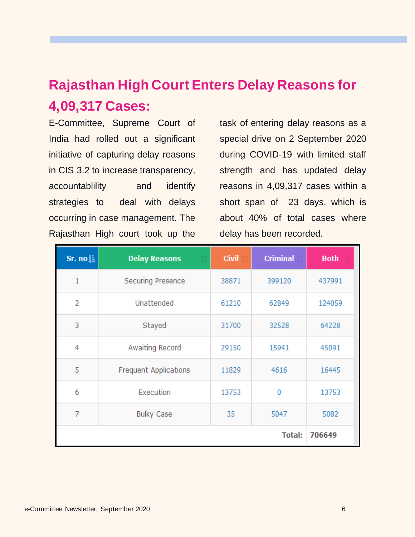## **Rajasthan High Court Enters Delay Reasons for 4,09,317 Cases:**

E-Committee, Supreme Court of India had rolled out a significant initiative of capturing delay reasons in CIS 3.2 to increase transparency, accountablility and identify strategies to deal with delays occurring in case management. The Rajasthan High court took up the

task of entering delay reasons as a special drive on 2 September 2020 during COVID-19 with limited staff strength and has updated delay reasons in 4,09,317 cases within a short span of 23 days, which is about 40% of total cases where delay has been recorded.

| Sr. no $\left\  \cdot \right\ $ | <b>Delay Reasons</b>         | <b>Civil</b> | <b>Criminal</b> | <b>Both</b> |
|---------------------------------|------------------------------|--------------|-----------------|-------------|
| $\mathbf{1}$                    | <b>Securing Presence</b>     | 38871        | 399120          | 437991      |
| $\overline{2}$                  | Unattended                   | 61210        | 62849           | 124059      |
| 3                               | Stayed                       | 31700        | 32528           | 64228       |
| 4                               | Awaiting Record              | 29150        | 15941           | 45091       |
| 5                               | <b>Frequent Applications</b> | 11829        | 4616            | 16445       |
| 6                               | Execution                    | 13753        | 0               | 13753       |
| $\overline{7}$                  | <b>Bulky Case</b>            | 35           | 5047            | 5082        |
|                                 | 706649                       |              |                 |             |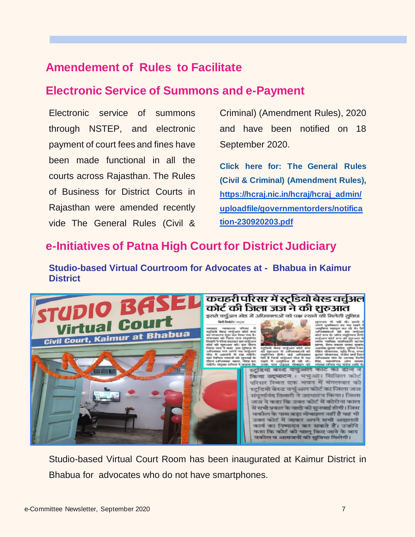#### **Amendement of Rules to Facilitate**

#### **Electronic Service of Summons and e-Payment**

Electronic service of summons through NSTEP, and electronic payment of court fees and fines have been made functional in all the courts across Rajasthan. The Rules of Business for District Courts in Rajasthan were amended recently vide The General Rules (Civil & Criminal) (Amendment Rules), 2020 and have been notified on 18 September 2020.

**Click here for: The General Rules (Civil & Criminal) (Amendment Rules), https://hcraj.nic.in/hcraj/hcraj\_admin/ uploadfile/governmentorders/notifica tion-230920203.pdf**

#### **e-Initiatives of Patna High Court for District Judiciary**

**Studio-based Virtual Courtroom for Advocates at - Bhabua in Kaimur District** 



Studio-based Virtual Court Room has been inaugurated at Kaimur District in Bhabua for advocates who do not have smartphones.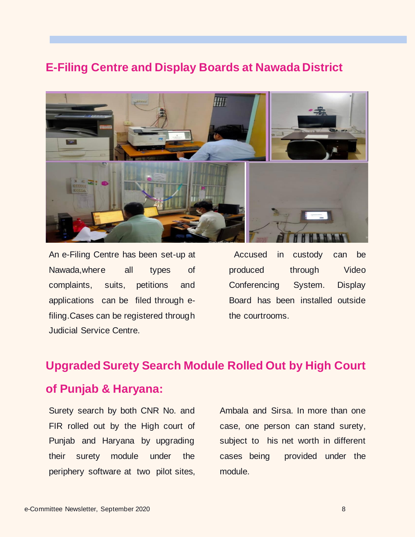#### **E-Filing Centre and Display Boards at Nawada District**



An e-Filing Centre has been set-up at Nawada,where all types of complaints, suits, petitions and applications can be filed through efiling.Cases can be registered through Judicial Service Centre.

Accused in custody can be produced through Video Conferencing System. Display Board has been installed outside the courtrooms.

#### **Upgraded Surety Search Module Rolled Out by High Court**

#### **of Punjab & Haryana:**

Surety search by both CNR No. and FIR rolled out by the High court of Punjab and Haryana by upgrading their surety module under the periphery software at two pilot sites,

Ambala and Sirsa. In more than one case, one person can stand surety, subject to his net worth in different cases being provided under the module.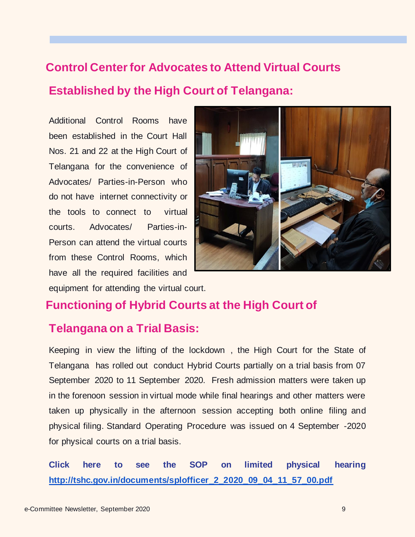#### **Control Center for Advocates to Attend Virtual Courts**

#### **Established by the High Court of Telangana:**

Additional Control Rooms have been established in the Court Hall Nos. 21 and 22 at the High Court of Telangana for the convenience of Advocates/ Parties-in-Person who do not have internet connectivity or the tools to connect to virtual courts. Advocates/ Parties-in-Person can attend the virtual courts from these Control Rooms, which have all the required facilities and equipment for attending the virtual court.



#### **Functioning of Hybrid Courts at the High Court of**

#### **Telangana on a Trial Basis:**

Keeping in view the lifting of the lockdown , the High Court for the State of Telangana has rolled out conduct Hybrid Courts partially on a trial basis from 07 September 2020 to 11 September 2020. Fresh admission matters were taken up in the forenoon session in virtual mode while final hearings and other matters were taken up physically in the afternoon session accepting both online filing and physical filing. Standard Operating Procedure was issued on 4 September -2020 for physical courts on a trial basis.

**Click here to see the SOP on limited physical hearing http://tshc.gov.in/documents/splofficer\_2\_2020\_09\_04\_11\_57\_00.pdf**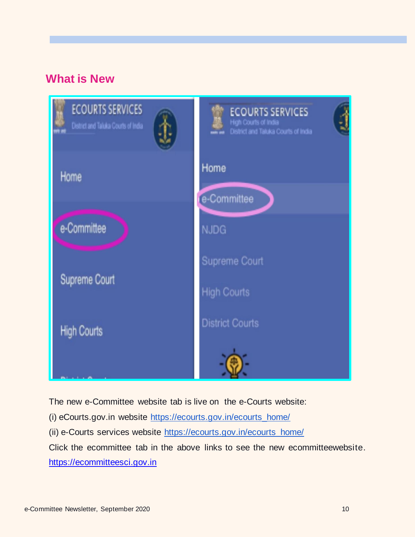#### **What is New**

| <b>ECOURTS SERVICES</b><br>District and Taluka Courts of India | <b>ECOURTS SERVICES</b><br>High Courts of India<br>District and Taluka Courts of India |  |  |
|----------------------------------------------------------------|----------------------------------------------------------------------------------------|--|--|
| Home                                                           | Home                                                                                   |  |  |
|                                                                | e-Committee                                                                            |  |  |
| e-Committee                                                    | <b>NJDG</b>                                                                            |  |  |
|                                                                | Supreme Court                                                                          |  |  |
| Supreme Court                                                  | <b>High Courts</b>                                                                     |  |  |
| <b>High Courts</b>                                             | <b>District Courts</b>                                                                 |  |  |
|                                                                |                                                                                        |  |  |

The new e-Committee website tab is live on the e-Courts website:

(i) eCourts.gov.in website https://ecourts.gov.in/ecourts\_home/

(ii) e-Courts services website https://ecourts.gov.in/ecourts\_home/

Click the ecommittee tab in the above links to see the new ecommitteewebsite. https://ecommitteesci.gov.in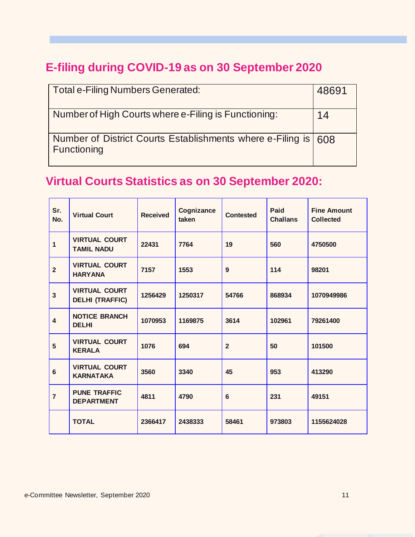## **E-filing during COVID-19 as on 30 September 2020**

| Total e-Filing Numbers Generated:                                             | 48691 |
|-------------------------------------------------------------------------------|-------|
| Number of High Courts where e-Filing is Functioning:                          | 14    |
| Number of District Courts Establishments where e-Filing is 608<br>Functioning |       |

## **Virtual Courts Statistics as on 30 September 2020:**

| Sr.<br>No.              | <b>Virtual Court</b>                           | <b>Received</b> | Cognizance<br>taken | <b>Contested</b> | Paid<br><b>Challans</b> | <b>Fine Amount</b><br><b>Collected</b> |
|-------------------------|------------------------------------------------|-----------------|---------------------|------------------|-------------------------|----------------------------------------|
| 1                       | <b>VIRTUAL COURT</b><br><b>TAMIL NADU</b>      | 22431           | 7764                | 19               | 560                     | 4750500                                |
| $\overline{\mathbf{2}}$ | <b>VIRTUAL COURT</b><br><b>HARYANA</b>         | 7157            | 1553                | 9                | 114                     | 98201                                  |
| $\overline{\mathbf{3}}$ | <b>VIRTUAL COURT</b><br><b>DELHI (TRAFFIC)</b> | 1256429         | 1250317             | 54766            | 868934                  | 1070949986                             |
| $\overline{\mathbf{4}}$ | <b>NOTICE BRANCH</b><br><b>DELHI</b>           | 1070953         | 1169875             | 3614             | 102961                  | 79261400                               |
| 5                       | <b>VIRTUAL COURT</b><br><b>KERALA</b>          | 1076            | 694                 | $\overline{2}$   | 50                      | 101500                                 |
| $6\phantom{1}$          | <b>VIRTUAL COURT</b><br><b>KARNATAKA</b>       | 3560            | 3340                | 45               | 953                     | 413290                                 |
| $\overline{7}$          | <b>PUNE TRAFFIC</b><br><b>DEPARTMENT</b>       | 4811            | 4790                | 6                | 231                     | 49151                                  |
|                         | <b>TOTAL</b>                                   | 2366417         | 2438333             | 58461            | 973803                  | 1155624028                             |